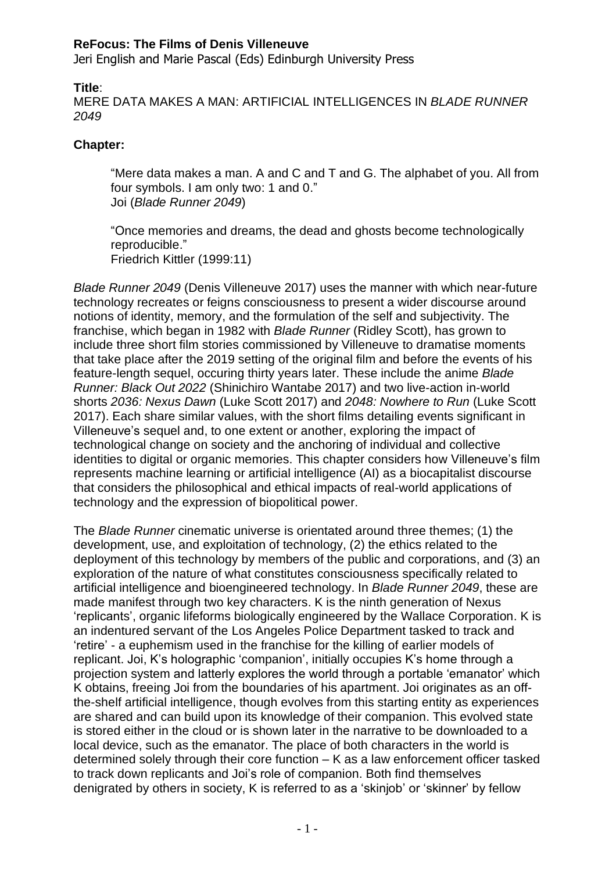Jeri English and Marie Pascal (Eds) Edinburgh University Press

**Title**:

MERE DATA MAKES A MAN: ARTIFICIAL INTELLIGENCES IN *BLADE RUNNER 2049*

# **Chapter:**

"Mere data makes a man. A and C and T and G. The alphabet of you. All from four symbols. I am only two: 1 and 0." Joi (*Blade Runner 2049*)

"Once memories and dreams, the dead and ghosts become technologically reproducible." Friedrich Kittler (1999:11)

*Blade Runner 2049* (Denis Villeneuve 2017) uses the manner with which near-future technology recreates or feigns consciousness to present a wider discourse around notions of identity, memory, and the formulation of the self and subjectivity. The franchise, which began in 1982 with *Blade Runner* (Ridley Scott), has grown to include three short film stories commissioned by Villeneuve to dramatise moments that take place after the 2019 setting of the original film and before the events of his feature-length sequel, occuring thirty years later. These include the anime *Blade Runner: Black Out 2022* (Shinichiro Wantabe 2017) and two live-action in-world shorts *2036: Nexus Dawn* (Luke Scott 2017) and *2048: Nowhere to Run* (Luke Scott 2017). Each share similar values, with the short films detailing events significant in Villeneuve's sequel and, to one extent or another, exploring the impact of technological change on society and the anchoring of individual and collective identities to digital or organic memories. This chapter considers how Villeneuve's film represents machine learning or artificial intelligence (AI) as a biocapitalist discourse that considers the philosophical and ethical impacts of real-world applications of technology and the expression of biopolitical power.

The *Blade Runner* cinematic universe is orientated around three themes; (1) the development, use, and exploitation of technology, (2) the ethics related to the deployment of this technology by members of the public and corporations, and (3) an exploration of the nature of what constitutes consciousness specifically related to artificial intelligence and bioengineered technology. In *Blade Runner 2049*, these are made manifest through two key characters. K is the ninth generation of Nexus 'replicants', organic lifeforms biologically engineered by the Wallace Corporation. K is an indentured servant of the Los Angeles Police Department tasked to track and 'retire' - a euphemism used in the franchise for the killing of earlier models of replicant. Joi, K's holographic 'companion', initially occupies K's home through a projection system and latterly explores the world through a portable 'emanator' which K obtains, freeing Joi from the boundaries of his apartment. Joi originates as an offthe-shelf artificial intelligence, though evolves from this starting entity as experiences are shared and can build upon its knowledge of their companion. This evolved state is stored either in the cloud or is shown later in the narrative to be downloaded to a local device, such as the emanator. The place of both characters in the world is determined solely through their core function – K as a law enforcement officer tasked to track down replicants and Joi's role of companion. Both find themselves denigrated by others in society, K is referred to as a 'skinjob' or 'skinner' by fellow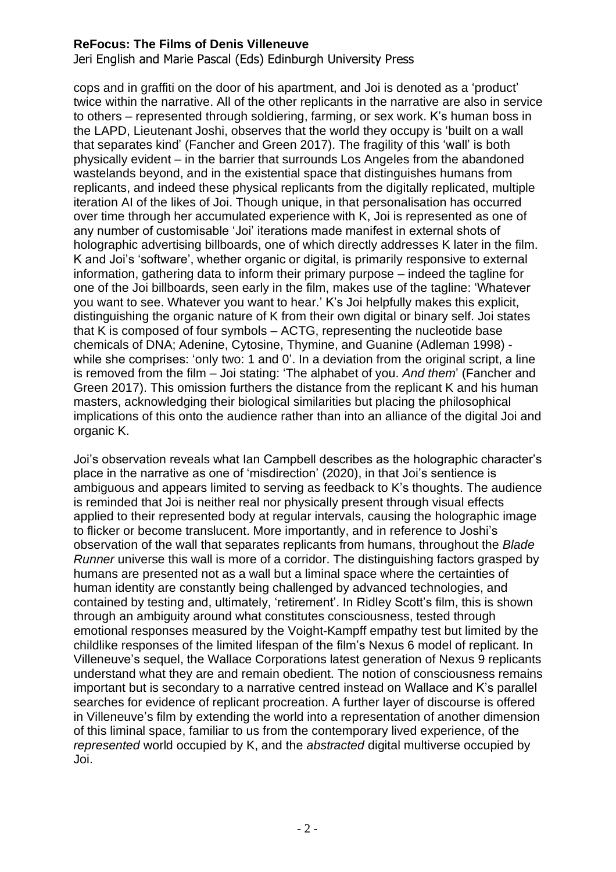Jeri English and Marie Pascal (Eds) Edinburgh University Press

cops and in graffiti on the door of his apartment, and Joi is denoted as a 'product' twice within the narrative. All of the other replicants in the narrative are also in service to others – represented through soldiering, farming, or sex work. K's human boss in the LAPD, Lieutenant Joshi, observes that the world they occupy is 'built on a wall that separates kind' (Fancher and Green 2017). The fragility of this 'wall' is both physically evident – in the barrier that surrounds Los Angeles from the abandoned wastelands beyond, and in the existential space that distinguishes humans from replicants, and indeed these physical replicants from the digitally replicated, multiple iteration AI of the likes of Joi. Though unique, in that personalisation has occurred over time through her accumulated experience with K, Joi is represented as one of any number of customisable 'Joi' iterations made manifest in external shots of holographic advertising billboards, one of which directly addresses K later in the film. K and Joi's 'software', whether organic or digital, is primarily responsive to external information, gathering data to inform their primary purpose – indeed the tagline for one of the Joi billboards, seen early in the film, makes use of the tagline: 'Whatever you want to see. Whatever you want to hear.' K's Joi helpfully makes this explicit, distinguishing the organic nature of K from their own digital or binary self. Joi states that K is composed of four symbols – ACTG, representing the nucleotide base chemicals of DNA; Adenine, Cytosine, Thymine, and Guanine (Adleman 1998) while she comprises: 'only two: 1 and 0'. In a deviation from the original script, a line is removed from the film – Joi stating: 'The alphabet of you. *And them*' (Fancher and Green 2017). This omission furthers the distance from the replicant K and his human masters, acknowledging their biological similarities but placing the philosophical implications of this onto the audience rather than into an alliance of the digital Joi and organic K.

Joi's observation reveals what Ian Campbell describes as the holographic character's place in the narrative as one of 'misdirection' (2020), in that Joi's sentience is ambiguous and appears limited to serving as feedback to K's thoughts. The audience is reminded that Joi is neither real nor physically present through visual effects applied to their represented body at regular intervals, causing the holographic image to flicker or become translucent. More importantly, and in reference to Joshi's observation of the wall that separates replicants from humans, throughout the *Blade Runner* universe this wall is more of a corridor. The distinguishing factors grasped by humans are presented not as a wall but a liminal space where the certainties of human identity are constantly being challenged by advanced technologies, and contained by testing and, ultimately, 'retirement'. In Ridley Scott's film, this is shown through an ambiguity around what constitutes consciousness, tested through emotional responses measured by the Voight-Kampff empathy test but limited by the childlike responses of the limited lifespan of the film's Nexus 6 model of replicant. In Villeneuve's sequel, the Wallace Corporations latest generation of Nexus 9 replicants understand what they are and remain obedient. The notion of consciousness remains important but is secondary to a narrative centred instead on Wallace and K's parallel searches for evidence of replicant procreation. A further layer of discourse is offered in Villeneuve's film by extending the world into a representation of another dimension of this liminal space, familiar to us from the contemporary lived experience, of the *represented* world occupied by K, and the *abstracted* digital multiverse occupied by Joi.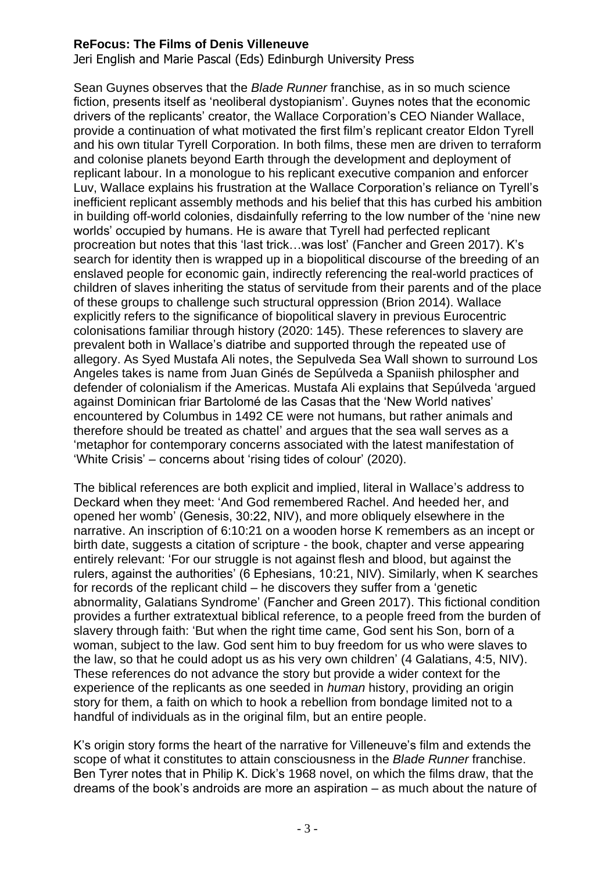Jeri English and Marie Pascal (Eds) Edinburgh University Press

Sean Guynes observes that the *Blade Runner* franchise, as in so much science fiction, presents itself as 'neoliberal dystopianism'. Guynes notes that the economic drivers of the replicants' creator, the Wallace Corporation's CEO Niander Wallace, provide a continuation of what motivated the first film's replicant creator Eldon Tyrell and his own titular Tyrell Corporation. In both films, these men are driven to terraform and colonise planets beyond Earth through the development and deployment of replicant labour. In a monologue to his replicant executive companion and enforcer Luv, Wallace explains his frustration at the Wallace Corporation's reliance on Tyrell's inefficient replicant assembly methods and his belief that this has curbed his ambition in building off-world colonies, disdainfully referring to the low number of the 'nine new worlds' occupied by humans. He is aware that Tyrell had perfected replicant procreation but notes that this 'last trick…was lost' (Fancher and Green 2017). K's search for identity then is wrapped up in a biopolitical discourse of the breeding of an enslaved people for economic gain, indirectly referencing the real-world practices of children of slaves inheriting the status of servitude from their parents and of the place of these groups to challenge such structural oppression (Brion 2014). Wallace explicitly refers to the significance of biopolitical slavery in previous Eurocentric colonisations familiar through history (2020: 145). These references to slavery are prevalent both in Wallace's diatribe and supported through the repeated use of allegory. As Syed Mustafa Ali notes, the Sepulveda Sea Wall shown to surround Los Angeles takes is name from Juan Ginés de Sepúlveda a Spaniish philospher and defender of colonialism if the Americas. Mustafa Ali explains that Sepúlveda 'argued against Dominican friar Bartolomé de las Casas that the 'New World natives' encountered by Columbus in 1492 CE were not humans, but rather animals and therefore should be treated as chattel' and argues that the sea wall serves as a 'metaphor for contemporary concerns associated with the latest manifestation of 'White Crisis' – concerns about 'rising tides of colour' (2020).

The biblical references are both explicit and implied, literal in Wallace's address to Deckard when they meet: 'And God remembered Rachel. And heeded her, and opened her womb' (Genesis, 30:22, NIV), and more obliquely elsewhere in the narrative. An inscription of 6:10:21 on a wooden horse K remembers as an incept or birth date, suggests a citation of scripture - the book, chapter and verse appearing entirely relevant: 'For our struggle is not against flesh and blood, but against the rulers, against the authorities' (6 Ephesians, 10:21, NIV). Similarly, when K searches for records of the replicant child – he discovers they suffer from a 'genetic abnormality, Galatians Syndrome' (Fancher and Green 2017). This fictional condition provides a further extratextual biblical reference, to a people freed from the burden of slavery through faith: 'But when the right time came, God sent his Son, born of a woman, subject to the law. God sent him to buy freedom for us who were slaves to the law, so that he could adopt us as his very own children' (4 Galatians, 4:5, NIV). These references do not advance the story but provide a wider context for the experience of the replicants as one seeded in *human* history, providing an origin story for them, a faith on which to hook a rebellion from bondage limited not to a handful of individuals as in the original film, but an entire people.

K's origin story forms the heart of the narrative for Villeneuve's film and extends the scope of what it constitutes to attain consciousness in the *Blade Runner* franchise. Ben Tyrer notes that in Philip K. Dick's 1968 novel, on which the films draw, that the dreams of the book's androids are more an aspiration – as much about the nature of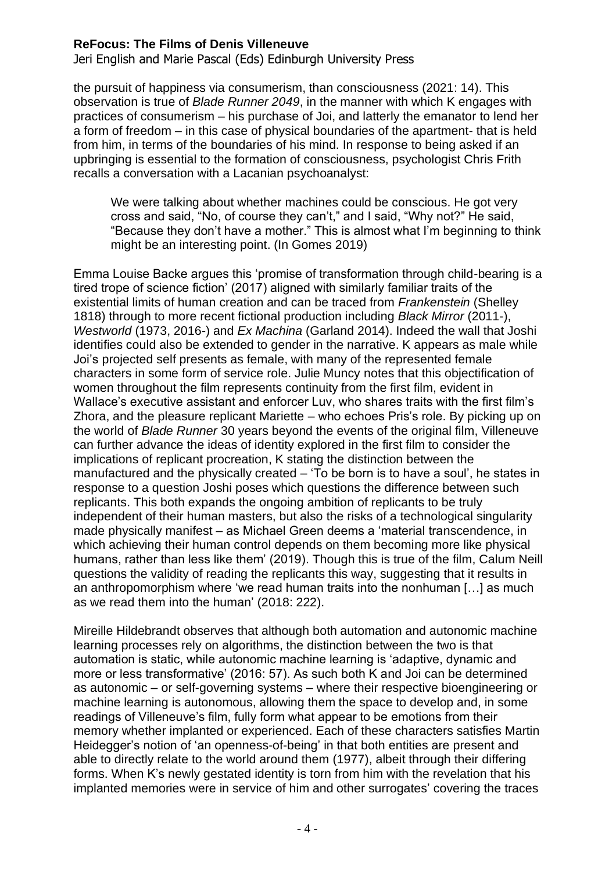Jeri English and Marie Pascal (Eds) Edinburgh University Press

the pursuit of happiness via consumerism, than consciousness (2021: 14). This observation is true of *Blade Runner 2049*, in the manner with which K engages with practices of consumerism – his purchase of Joi, and latterly the emanator to lend her a form of freedom – in this case of physical boundaries of the apartment- that is held from him, in terms of the boundaries of his mind. In response to being asked if an upbringing is essential to the formation of consciousness, psychologist Chris Frith recalls a conversation with a Lacanian psychoanalyst:

We were talking about whether machines could be conscious. He got very cross and said, "No, of course they can't," and I said, "Why not?" He said, "Because they don't have a mother." This is almost what I'm beginning to think might be an interesting point. (In Gomes 2019)

Emma Louise Backe argues this 'promise of transformation through child-bearing is a tired trope of science fiction' (2017) aligned with similarly familiar traits of the existential limits of human creation and can be traced from *Frankenstein* (Shelley 1818) through to more recent fictional production including *Black Mirror* (2011-), *Westworld* (1973, 2016-) and *Ex Machina* (Garland 2014). Indeed the wall that Joshi identifies could also be extended to gender in the narrative. K appears as male while Joi's projected self presents as female, with many of the represented female characters in some form of service role. Julie Muncy notes that this objectification of women throughout the film represents continuity from the first film, evident in Wallace's executive assistant and enforcer Luv, who shares traits with the first film's Zhora, and the pleasure replicant Mariette – who echoes Pris's role. By picking up on the world of *Blade Runner* 30 years beyond the events of the original film, Villeneuve can further advance the ideas of identity explored in the first film to consider the implications of replicant procreation, K stating the distinction between the manufactured and the physically created – 'To be born is to have a soul', he states in response to a question Joshi poses which questions the difference between such replicants. This both expands the ongoing ambition of replicants to be truly independent of their human masters, but also the risks of a technological singularity made physically manifest – as Michael Green deems a 'material transcendence, in which achieving their human control depends on them becoming more like physical humans, rather than less like them' (2019). Though this is true of the film, Calum Neill questions the validity of reading the replicants this way, suggesting that it results in an anthropomorphism where 'we read human traits into the nonhuman […] as much as we read them into the human' (2018: 222).

Mireille Hildebrandt observes that although both automation and autonomic machine learning processes rely on algorithms, the distinction between the two is that automation is static, while autonomic machine learning is 'adaptive, dynamic and more or less transformative' (2016: 57). As such both K and Joi can be determined as autonomic – or self-governing systems – where their respective bioengineering or machine learning is autonomous, allowing them the space to develop and, in some readings of Villeneuve's film, fully form what appear to be emotions from their memory whether implanted or experienced. Each of these characters satisfies Martin Heidegger's notion of 'an openness-of-being' in that both entities are present and able to directly relate to the world around them (1977), albeit through their differing forms. When K's newly gestated identity is torn from him with the revelation that his implanted memories were in service of him and other surrogates' covering the traces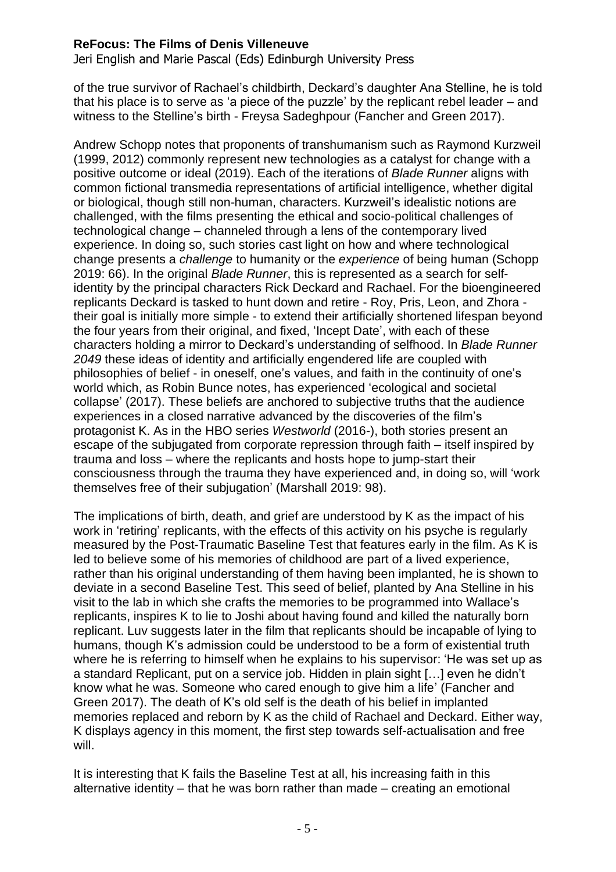Jeri English and Marie Pascal (Eds) Edinburgh University Press

of the true survivor of Rachael's childbirth, Deckard's daughter Ana Stelline, he is told that his place is to serve as 'a piece of the puzzle' by the replicant rebel leader – and witness to the Stelline's birth - Freysa Sadeghpour (Fancher and Green 2017).

Andrew Schopp notes that proponents of transhumanism such as Raymond Kurzweil (1999, 2012) commonly represent new technologies as a catalyst for change with a positive outcome or ideal (2019). Each of the iterations of *Blade Runner* aligns with common fictional transmedia representations of artificial intelligence, whether digital or biological, though still non-human, characters. Kurzweil's idealistic notions are challenged, with the films presenting the ethical and socio-political challenges of technological change – channeled through a lens of the contemporary lived experience. In doing so, such stories cast light on how and where technological change presents a *challenge* to humanity or the *experience* of being human (Schopp 2019: 66). In the original *Blade Runner*, this is represented as a search for selfidentity by the principal characters Rick Deckard and Rachael. For the bioengineered replicants Deckard is tasked to hunt down and retire - Roy, Pris, Leon, and Zhora their goal is initially more simple - to extend their artificially shortened lifespan beyond the four years from their original, and fixed, 'Incept Date', with each of these characters holding a mirror to Deckard's understanding of selfhood. In *Blade Runner 2049* these ideas of identity and artificially engendered life are coupled with philosophies of belief - in oneself, one's values, and faith in the continuity of one's world which, as Robin Bunce notes, has experienced 'ecological and societal collapse' (2017). These beliefs are anchored to subjective truths that the audience experiences in a closed narrative advanced by the discoveries of the film's protagonist K. As in the HBO series *Westworld* (2016-), both stories present an escape of the subjugated from corporate repression through faith – itself inspired by trauma and loss – where the replicants and hosts hope to jump-start their consciousness through the trauma they have experienced and, in doing so, will 'work themselves free of their subjugation' (Marshall 2019: 98).

The implications of birth, death, and grief are understood by K as the impact of his work in 'retiring' replicants, with the effects of this activity on his psyche is regularly measured by the Post-Traumatic Baseline Test that features early in the film. As K is led to believe some of his memories of childhood are part of a lived experience, rather than his original understanding of them having been implanted, he is shown to deviate in a second Baseline Test. This seed of belief, planted by Ana Stelline in his visit to the lab in which she crafts the memories to be programmed into Wallace's replicants, inspires K to lie to Joshi about having found and killed the naturally born replicant. Luv suggests later in the film that replicants should be incapable of lying to humans, though K's admission could be understood to be a form of existential truth where he is referring to himself when he explains to his supervisor: 'He was set up as a standard Replicant, put on a service job. Hidden in plain sight […] even he didn't know what he was. Someone who cared enough to give him a life' (Fancher and Green 2017). The death of K's old self is the death of his belief in implanted memories replaced and reborn by K as the child of Rachael and Deckard. Either way, K displays agency in this moment, the first step towards self-actualisation and free will.

It is interesting that K fails the Baseline Test at all, his increasing faith in this alternative identity – that he was born rather than made – creating an emotional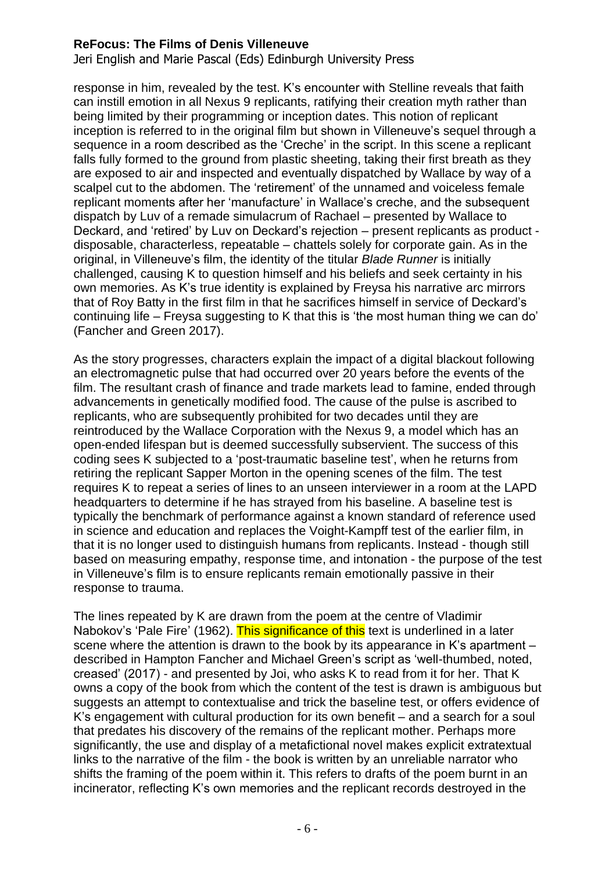Jeri English and Marie Pascal (Eds) Edinburgh University Press

response in him, revealed by the test. K's encounter with Stelline reveals that faith can instill emotion in all Nexus 9 replicants, ratifying their creation myth rather than being limited by their programming or inception dates. This notion of replicant inception is referred to in the original film but shown in Villeneuve's sequel through a sequence in a room described as the 'Creche' in the script. In this scene a replicant falls fully formed to the ground from plastic sheeting, taking their first breath as they are exposed to air and inspected and eventually dispatched by Wallace by way of a scalpel cut to the abdomen. The 'retirement' of the unnamed and voiceless female replicant moments after her 'manufacture' in Wallace's creche, and the subsequent dispatch by Luv of a remade simulacrum of Rachael – presented by Wallace to Deckard, and 'retired' by Luv on Deckard's rejection – present replicants as product disposable, characterless, repeatable – chattels solely for corporate gain. As in the original, in Villeneuve's film, the identity of the titular *Blade Runner* is initially challenged, causing K to question himself and his beliefs and seek certainty in his own memories. As K's true identity is explained by Freysa his narrative arc mirrors that of Roy Batty in the first film in that he sacrifices himself in service of Deckard's continuing life – Freysa suggesting to K that this is 'the most human thing we can do' (Fancher and Green 2017).

As the story progresses, characters explain the impact of a digital blackout following an electromagnetic pulse that had occurred over 20 years before the events of the film. The resultant crash of finance and trade markets lead to famine, ended through advancements in genetically modified food. The cause of the pulse is ascribed to replicants, who are subsequently prohibited for two decades until they are reintroduced by the Wallace Corporation with the Nexus 9, a model which has an open-ended lifespan but is deemed successfully subservient. The success of this coding sees K subjected to a 'post-traumatic baseline test', when he returns from retiring the replicant Sapper Morton in the opening scenes of the film. The test requires K to repeat a series of lines to an unseen interviewer in a room at the LAPD headquarters to determine if he has strayed from his baseline. A baseline test is typically the benchmark of performance against a known standard of reference used in science and education and replaces the Voight-Kampff test of the earlier film, in that it is no longer used to distinguish humans from replicants. Instead - though still based on measuring empathy, response time, and intonation - the purpose of the test in Villeneuve's film is to ensure replicants remain emotionally passive in their response to trauma.

The lines repeated by K are drawn from the poem at the centre of Vladimir Nabokov's 'Pale Fire' (1962). This significance of this text is underlined in a later scene where the attention is drawn to the book by its appearance in K's apartment – described in Hampton Fancher and Michael Green's script as 'well-thumbed, noted, creased' (2017) - and presented by Joi, who asks K to read from it for her. That K owns a copy of the book from which the content of the test is drawn is ambiguous but suggests an attempt to contextualise and trick the baseline test, or offers evidence of K's engagement with cultural production for its own benefit – and a search for a soul that predates his discovery of the remains of the replicant mother. Perhaps more significantly, the use and display of a metafictional novel makes explicit extratextual links to the narrative of the film - the book is written by an unreliable narrator who shifts the framing of the poem within it. This refers to drafts of the poem burnt in an incinerator, reflecting K's own memories and the replicant records destroyed in the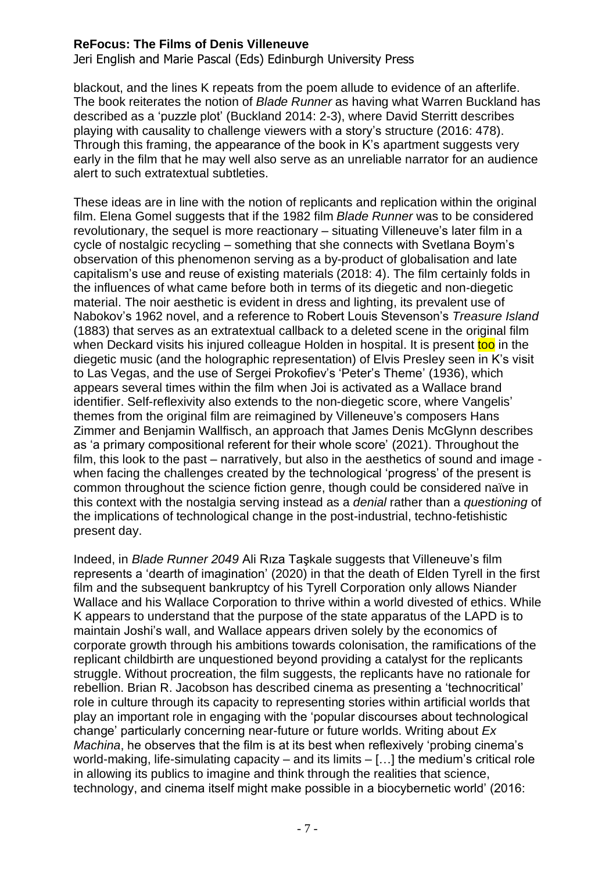Jeri English and Marie Pascal (Eds) Edinburgh University Press

blackout, and the lines K repeats from the poem allude to evidence of an afterlife. The book reiterates the notion of *Blade Runner* as having what Warren Buckland has described as a 'puzzle plot' (Buckland 2014: 2-3), where David Sterritt describes playing with causality to challenge viewers with a story's structure (2016: 478). Through this framing, the appearance of the book in K's apartment suggests very early in the film that he may well also serve as an unreliable narrator for an audience alert to such extratextual subtleties.

These ideas are in line with the notion of replicants and replication within the original film. Elena Gomel suggests that if the 1982 film *Blade Runner* was to be considered revolutionary, the sequel is more reactionary – situating Villeneuve's later film in a cycle of nostalgic recycling – something that she connects with Svetlana Boym's observation of this phenomenon serving as a by-product of globalisation and late capitalism's use and reuse of existing materials (2018: 4). The film certainly folds in the influences of what came before both in terms of its diegetic and non-diegetic material. The noir aesthetic is evident in dress and lighting, its prevalent use of Nabokov's 1962 novel, and a reference to Robert Louis Stevenson's *Treasure Island* (1883) that serves as an extratextual callback to a deleted scene in the original film when Deckard visits his injured colleague Holden in hospital. It is present too in the diegetic music (and the holographic representation) of Elvis Presley seen in K's visit to Las Vegas, and the use of Sergei Prokofiev's 'Peter's Theme' (1936), which appears several times within the film when Joi is activated as a Wallace brand identifier. Self-reflexivity also extends to the non-diegetic score, where Vangelis' themes from the original film are reimagined by Villeneuve's composers Hans Zimmer and Benjamin Wallfisch, an approach that James Denis McGlynn describes as 'a primary compositional referent for their whole score' (2021). Throughout the film, this look to the past – narratively, but also in the aesthetics of sound and image when facing the challenges created by the technological 'progress' of the present is common throughout the science fiction genre, though could be considered naïve in this context with the nostalgia serving instead as a *denial* rather than a *questioning* of the implications of technological change in the post-industrial, techno-fetishistic present day.

Indeed, in *Blade Runner 2049* Ali Rıza Taşkale suggests that Villeneuve's film represents a 'dearth of imagination' (2020) in that the death of Elden Tyrell in the first film and the subsequent bankruptcy of his Tyrell Corporation only allows Niander Wallace and his Wallace Corporation to thrive within a world divested of ethics. While K appears to understand that the purpose of the state apparatus of the LAPD is to maintain Joshi's wall, and Wallace appears driven solely by the economics of corporate growth through his ambitions towards colonisation, the ramifications of the replicant childbirth are unquestioned beyond providing a catalyst for the replicants struggle. Without procreation, the film suggests, the replicants have no rationale for rebellion. Brian R. Jacobson has described cinema as presenting a 'technocritical' role in culture through its capacity to representing stories within artificial worlds that play an important role in engaging with the 'popular discourses about technological change' particularly concerning near-future or future worlds. Writing about *Ex Machina*, he observes that the film is at its best when reflexively 'probing cinema's world-making, life-simulating capacity  $-$  and its limits  $-$  [...] the medium's critical role in allowing its publics to imagine and think through the realities that science, technology, and cinema itself might make possible in a biocybernetic world' (2016: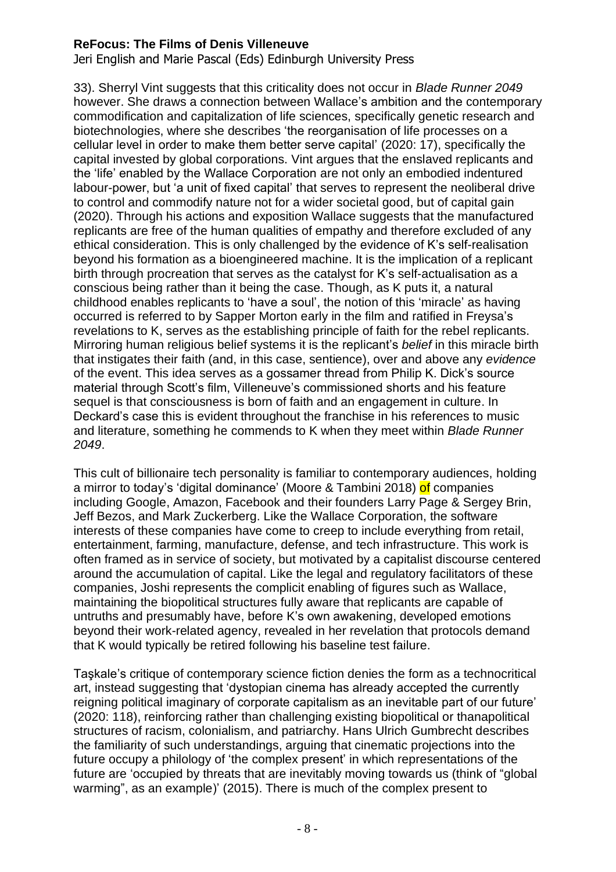Jeri English and Marie Pascal (Eds) Edinburgh University Press

33). Sherryl Vint suggests that this criticality does not occur in *Blade Runner 2049* however. She draws a connection between Wallace's ambition and the contemporary commodification and capitalization of life sciences, specifically genetic research and biotechnologies, where she describes 'the reorganisation of life processes on a cellular level in order to make them better serve capital' (2020: 17), specifically the capital invested by global corporations. Vint argues that the enslaved replicants and the 'life' enabled by the Wallace Corporation are not only an embodied indentured labour-power, but 'a unit of fixed capital' that serves to represent the neoliberal drive to control and commodify nature not for a wider societal good, but of capital gain (2020). Through his actions and exposition Wallace suggests that the manufactured replicants are free of the human qualities of empathy and therefore excluded of any ethical consideration. This is only challenged by the evidence of K's self-realisation beyond his formation as a bioengineered machine. It is the implication of a replicant birth through procreation that serves as the catalyst for K's self-actualisation as a conscious being rather than it being the case. Though, as K puts it, a natural childhood enables replicants to 'have a soul', the notion of this 'miracle' as having occurred is referred to by Sapper Morton early in the film and ratified in Freysa's revelations to K, serves as the establishing principle of faith for the rebel replicants. Mirroring human religious belief systems it is the replicant's *belief* in this miracle birth that instigates their faith (and, in this case, sentience), over and above any *evidence* of the event. This idea serves as a gossamer thread from Philip K. Dick's source material through Scott's film, Villeneuve's commissioned shorts and his feature sequel is that consciousness is born of faith and an engagement in culture. In Deckard's case this is evident throughout the franchise in his references to music and literature, something he commends to K when they meet within *Blade Runner 2049*.

This cult of billionaire tech personality is familiar to contemporary audiences, holding a mirror to today's 'digital dominance' (Moore & Tambini 2018) of companies including Google, Amazon, Facebook and their founders Larry Page & Sergey Brin, Jeff Bezos, and Mark Zuckerberg. Like the Wallace Corporation, the software interests of these companies have come to creep to include everything from retail, entertainment, farming, manufacture, defense, and tech infrastructure. This work is often framed as in service of society, but motivated by a capitalist discourse centered around the accumulation of capital. Like the legal and regulatory facilitators of these companies, Joshi represents the complicit enabling of figures such as Wallace, maintaining the biopolitical structures fully aware that replicants are capable of untruths and presumably have, before K's own awakening, developed emotions beyond their work-related agency, revealed in her revelation that protocols demand that K would typically be retired following his baseline test failure.

Taşkale's critique of contemporary science fiction denies the form as a technocritical art, instead suggesting that 'dystopian cinema has already accepted the currently reigning political imaginary of corporate capitalism as an inevitable part of our future' (2020: 118), reinforcing rather than challenging existing biopolitical or thanapolitical structures of racism, colonialism, and patriarchy. Hans Ulrich Gumbrecht describes the familiarity of such understandings, arguing that cinematic projections into the future occupy a philology of 'the complex present' in which representations of the future are 'occupied by threats that are inevitably moving towards us (think of "global warming", as an example)' (2015). There is much of the complex present to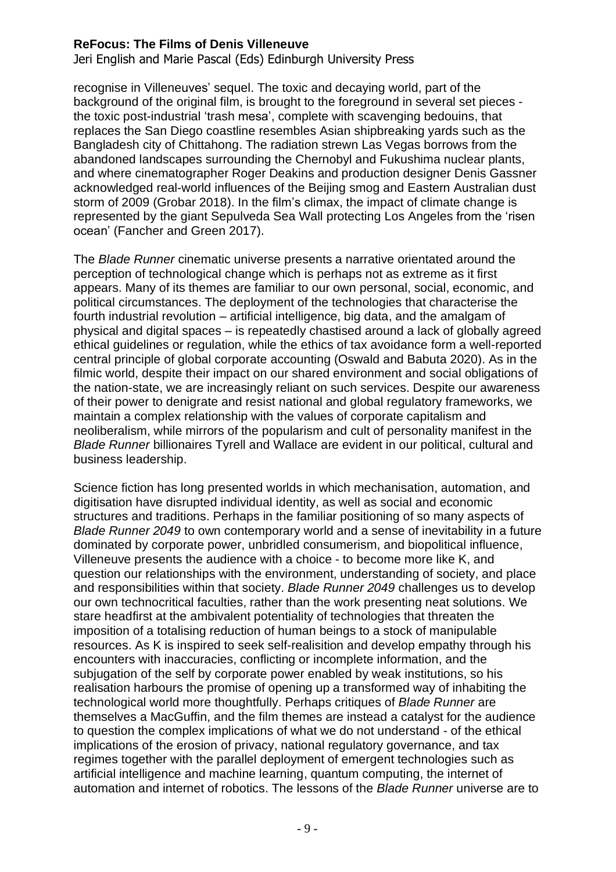Jeri English and Marie Pascal (Eds) Edinburgh University Press

recognise in Villeneuves' sequel. The toxic and decaying world, part of the background of the original film, is brought to the foreground in several set pieces the toxic post-industrial 'trash mesa', complete with scavenging bedouins, that replaces the San Diego coastline resembles Asian shipbreaking yards such as the Bangladesh city of Chittahong. The radiation strewn Las Vegas borrows from the abandoned landscapes surrounding the Chernobyl and Fukushima nuclear plants, and where cinematographer Roger Deakins and production designer Denis Gassner acknowledged real-world influences of the Beijing smog and Eastern Australian dust storm of 2009 (Grobar 2018). In the film's climax, the impact of climate change is represented by the giant Sepulveda Sea Wall protecting Los Angeles from the 'risen ocean' (Fancher and Green 2017).

The *Blade Runner* cinematic universe presents a narrative orientated around the perception of technological change which is perhaps not as extreme as it first appears. Many of its themes are familiar to our own personal, social, economic, and political circumstances. The deployment of the technologies that characterise the fourth industrial revolution – artificial intelligence, big data, and the amalgam of physical and digital spaces – is repeatedly chastised around a lack of globally agreed ethical guidelines or regulation, while the ethics of tax avoidance form a well-reported central principle of global corporate accounting (Oswald and Babuta 2020). As in the filmic world, despite their impact on our shared environment and social obligations of the nation-state, we are increasingly reliant on such services. Despite our awareness of their power to denigrate and resist national and global regulatory frameworks, we maintain a complex relationship with the values of corporate capitalism and neoliberalism, while mirrors of the popularism and cult of personality manifest in the *Blade Runner* billionaires Tyrell and Wallace are evident in our political, cultural and business leadership.

Science fiction has long presented worlds in which mechanisation, automation, and digitisation have disrupted individual identity, as well as social and economic structures and traditions. Perhaps in the familiar positioning of so many aspects of *Blade Runner 2049* to own contemporary world and a sense of inevitability in a future dominated by corporate power, unbridled consumerism, and biopolitical influence, Villeneuve presents the audience with a choice - to become more like K, and question our relationships with the environment, understanding of society, and place and responsibilities within that society. *Blade Runner 2049* challenges us to develop our own technocritical faculties, rather than the work presenting neat solutions. We stare headfirst at the ambivalent potentiality of technologies that threaten the imposition of a totalising reduction of human beings to a stock of manipulable resources. As K is inspired to seek self-realisition and develop empathy through his encounters with inaccuracies, conflicting or incomplete information, and the subjugation of the self by corporate power enabled by weak institutions, so his realisation harbours the promise of opening up a transformed way of inhabiting the technological world more thoughtfully. Perhaps critiques of *Blade Runner* are themselves a MacGuffin, and the film themes are instead a catalyst for the audience to question the complex implications of what we do not understand - of the ethical implications of the erosion of privacy, national regulatory governance, and tax regimes together with the parallel deployment of emergent technologies such as artificial intelligence and machine learning, quantum computing, the internet of automation and internet of robotics. The lessons of the *Blade Runner* universe are to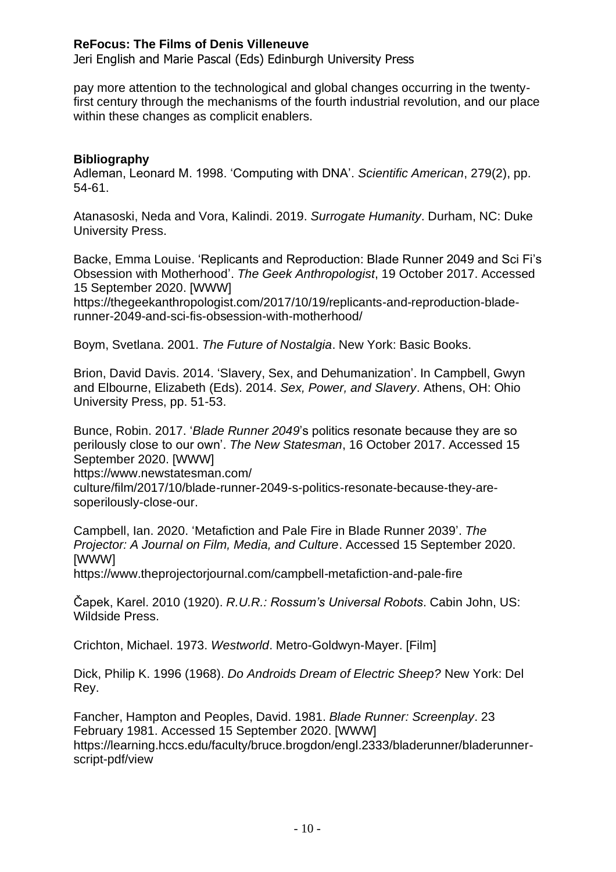Jeri English and Marie Pascal (Eds) Edinburgh University Press

pay more attention to the technological and global changes occurring in the twentyfirst century through the mechanisms of the fourth industrial revolution, and our place within these changes as complicit enablers.

# **Bibliography**

Adleman, Leonard M. 1998. 'Computing with DNA'. *Scientific American*, 279(2), pp. 54-61.

Atanasoski, Neda and Vora, Kalindi. 2019. *Surrogate Humanity*. Durham, NC: Duke University Press.

Backe, Emma Louise. 'Replicants and Reproduction: Blade Runner 2049 and Sci Fi's Obsession with Motherhood'. *The Geek Anthropologist*, 19 October 2017. Accessed 15 September 2020. [WWW]

https://thegeekanthropologist.com/2017/10/19/replicants-and-reproduction-bladerunner-2049-and-sci-fis-obsession-with-motherhood/

Boym, Svetlana. 2001. *The Future of Nostalgia*. New York: Basic Books.

Brion, David Davis. 2014. 'Slavery, Sex, and Dehumanization'. In Campbell, Gwyn and Elbourne, Elizabeth (Eds). 2014. *Sex, Power, and Slavery*. Athens, OH: Ohio University Press, pp. 51-53.

Bunce, Robin. 2017. '*Blade Runner 2049*'s politics resonate because they are so perilously close to our own'. *The New Statesman*, 16 October 2017. Accessed 15 September 2020. [WWW]

https://www.newstatesman.com/

culture/film/2017/10/blade-runner-2049-s-politics-resonate-because-they-aresoperilously-close-our.

Campbell, Ian. 2020. 'Metafiction and Pale Fire in Blade Runner 2039'. *The Projector: A Journal on Film, Media, and Culture*. Accessed 15 September 2020. [WWW]

https://www.theprojectorjournal.com/campbell-metafiction-and-pale-fire

Čapek, Karel. 2010 (1920). *R.U.R.: Rossum's Universal Robots*. Cabin John, US: Wildside Press.

Crichton, Michael. 1973. *Westworld*. Metro-Goldwyn-Mayer. [Film]

Dick, Philip K. 1996 (1968). *Do Androids Dream of Electric Sheep?* New York: Del Rey.

Fancher, Hampton and Peoples, David. 1981. *Blade Runner: Screenplay*. 23 February 1981. Accessed 15 September 2020. [WWW] https://learning.hccs.edu/faculty/bruce.brogdon/engl.2333/bladerunner/bladerunnerscript-pdf/view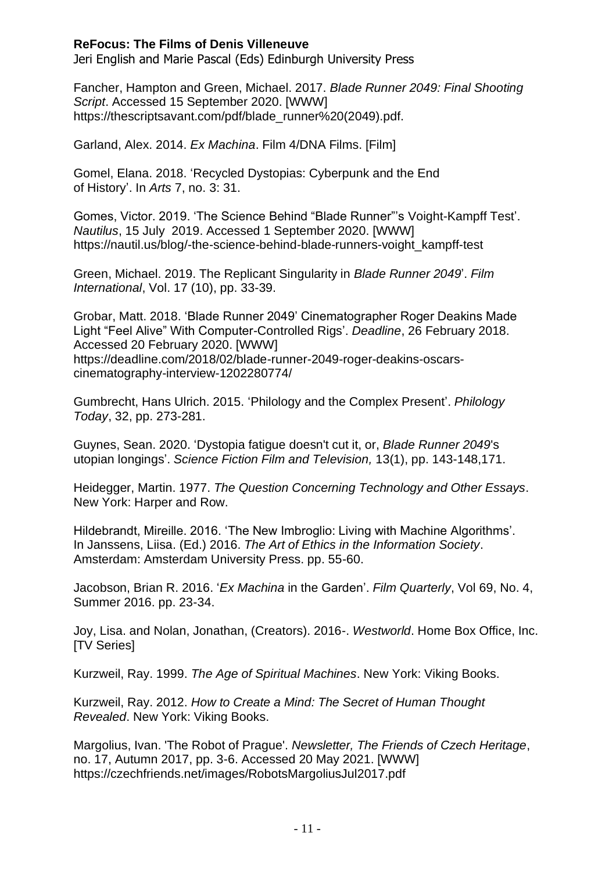Jeri English and Marie Pascal (Eds) Edinburgh University Press

Fancher, Hampton and Green, Michael. 2017. *Blade Runner 2049: Final Shooting Script*. Accessed 15 September 2020. [WWW] https://thescriptsavant.com/pdf/blade\_runner%20(2049).pdf.

Garland, Alex. 2014. *Ex Machina*. Film 4/DNA Films. [Film]

Gomel, Elana. 2018. 'Recycled Dystopias: Cyberpunk and the End of History'. In *Arts* 7, no. 3: 31.

Gomes, Victor. 2019. 'The Science Behind "Blade Runner"'s Voight-Kampff Test'. *Nautilus*, 15 July 2019. Accessed 1 September 2020. [WWW] https://nautil.us/blog/-the-science-behind-blade-runners-voight\_kampff-test

Green, Michael. 2019. The Replicant Singularity in *Blade Runner 2049*'. *Film International*, Vol. 17 (10), pp. 33-39.

Grobar, Matt. 2018. 'Blade Runner 2049' Cinematographer Roger Deakins Made Light "Feel Alive" With Computer-Controlled Rigs'. *Deadline*, 26 February 2018. Accessed 20 February 2020. [WWW] https://deadline.com/2018/02/blade-runner-2049-roger-deakins-oscarscinematography-interview-1202280774/

Gumbrecht, Hans Ulrich. 2015. 'Philology and the Complex Present'. *Philology Today*, 32, pp. 273-281.

Guynes, Sean. 2020. 'Dystopia fatigue doesn't cut it, or, *Blade Runner 2049*'s utopian longings'. *Science Fiction Film and Television,* 13(1), pp. 143-148,171.

Heidegger, Martin. 1977. *The Question Concerning Technology and Other Essays*. New York: Harper and Row.

Hildebrandt, Mireille. 2016. 'The New Imbroglio: Living with Machine Algorithms'. In Janssens, Liisa. (Ed.) 2016. *The Art of Ethics in the Information Society*. Amsterdam: Amsterdam University Press. pp. 55-60.

Jacobson, Brian R. 2016. '*Ex Machina* in the Garden'. *Film Quarterly*, Vol 69, No. 4, Summer 2016. pp. 23-34.

Joy, Lisa. and Nolan, Jonathan, (Creators). 2016-. *Westworld*. Home Box Office, Inc. **[TV Series]** 

Kurzweil, Ray. 1999. *The Age of Spiritual Machines*. New York: Viking Books.

Kurzweil, Ray. 2012. *How to Create a Mind: The Secret of Human Thought Revealed*. New York: Viking Books.

Margolius, Ivan. 'The Robot of Prague'. *Newsletter, The Friends of Czech Heritage*, no. 17, Autumn 2017, pp. 3-6. Accessed 20 May 2021. [WWW] <https://czechfriends.net/images/RobotsMargoliusJul2017.pdf>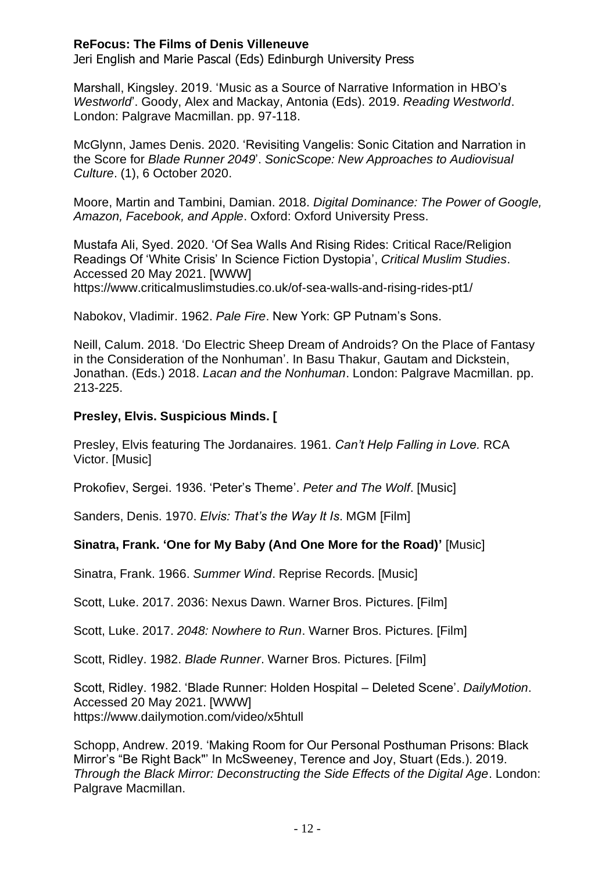Jeri English and Marie Pascal (Eds) Edinburgh University Press

Marshall, Kingsley. 2019. 'Music as a Source of Narrative Information in HBO's *Westworld*'. Goody, Alex and Mackay, Antonia (Eds). 2019. *Reading Westworld*. London: Palgrave Macmillan. pp. 97-118.

McGlynn, James Denis. 2020. 'Revisiting Vangelis: Sonic Citation and Narration in the Score for *Blade Runner 2049*'. *SonicScope: New Approaches to Audiovisual Culture*. (1), 6 October 2020.

Moore, Martin and Tambini, Damian. 2018. *Digital Dominance: The Power of Google, Amazon, Facebook, and Apple*. Oxford: Oxford University Press.

Mustafa Ali, Syed. 2020. 'Of Sea Walls And Rising Rides: Critical Race/Religion Readings Of 'White Crisis' In Science Fiction Dystopia', *Critical Muslim Studies*. Accessed 20 May 2021. [WWW] https://www.criticalmuslimstudies.co.uk/of-sea-walls-and-rising-rides-pt1/

Nabokov, Vladimir. 1962. *Pale Fire*. New York: GP Putnam's Sons.

Neill, Calum. 2018. 'Do Electric Sheep Dream of Androids? On the Place of Fantasy in the Consideration of the Nonhuman'. In Basu Thakur, Gautam and Dickstein, Jonathan. (Eds.) 2018. *Lacan and the Nonhuman*. London: Palgrave Macmillan. pp. 213-225.

# **Presley, Elvis. Suspicious Minds. [**

Presley, Elvis featuring The Jordanaires. 1961. *Can't Help Falling in Love.* RCA Victor. [Music]

Prokofiev, Sergei. 1936. 'Peter's Theme'. *Peter and The Wolf*. [Music]

Sanders, Denis. 1970. *Elvis: That's the Way It Is*. MGM [Film]

#### **Sinatra, Frank. 'One for My Baby (And One More for the Road)'** [Music]

Sinatra, Frank. 1966. *Summer Wind*. Reprise Records. [Music]

Scott, Luke. 2017. 2036: Nexus Dawn. Warner Bros. Pictures. [Film]

Scott, Luke. 2017. *2048: Nowhere to Run*. Warner Bros. Pictures. [Film]

Scott, Ridley. 1982. *Blade Runner*. Warner Bros. Pictures. [Film]

Scott, Ridley. 1982. 'Blade Runner: Holden Hospital – Deleted Scene'. *DailyMotion*. Accessed 20 May 2021. [WWW] https://www.dailymotion.com/video/x5htull

Schopp, Andrew. 2019. 'Making Room for Our Personal Posthuman Prisons: Black Mirror's "Be Right Back"' In McSweeney, Terence and Joy, Stuart (Eds.). 2019. *Through the Black Mirror: Deconstructing the Side Effects of the Digital Age*. London: Palgrave Macmillan.